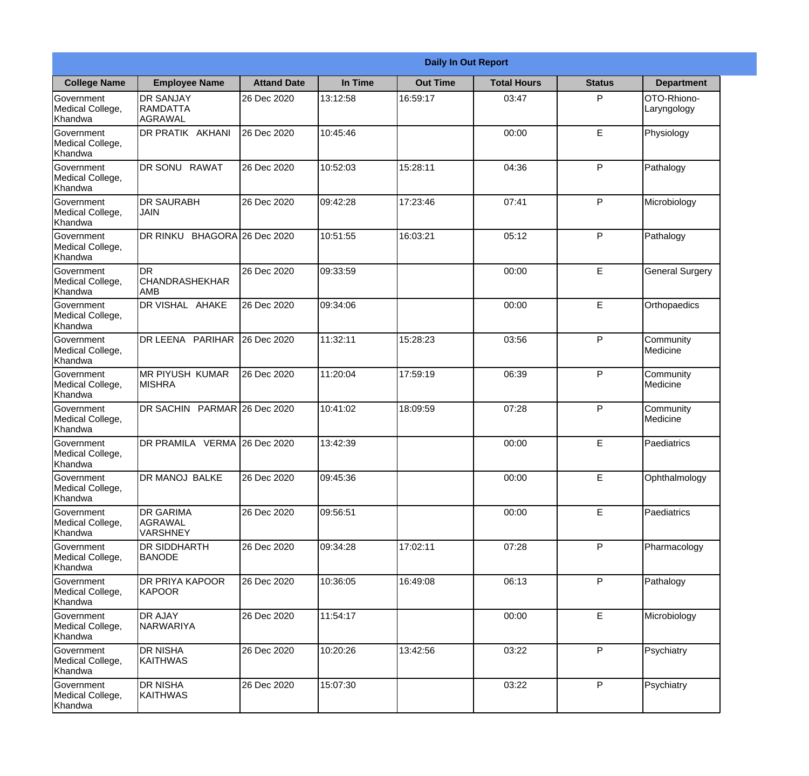|                                                  | <b>Daily In Out Report</b>                     |                     |          |                 |                    |               |                            |  |  |
|--------------------------------------------------|------------------------------------------------|---------------------|----------|-----------------|--------------------|---------------|----------------------------|--|--|
| <b>College Name</b>                              | <b>Employee Name</b>                           | <b>Attand Date</b>  | In Time  | <b>Out Time</b> | <b>Total Hours</b> | <b>Status</b> | <b>Department</b>          |  |  |
| Government<br>Medical College,<br>Khandwa        | <b>DR SANJAY</b><br><b>RAMDATTA</b><br>AGRAWAL | 26 Dec 2020         | 13:12:58 | 16:59:17        | 03:47              | P             | OTO-Rhiono-<br>Laryngology |  |  |
| Government<br>Medical College,<br>Khandwa        | DR PRATIK AKHANI                               | 26 Dec 2020         | 10:45:46 |                 | 00:00              | E             | Physiology                 |  |  |
| Government<br>Medical College,<br>Khandwa        | <b>DR SONU RAWAT</b>                           | 26 Dec 2020         | 10:52:03 | 15:28:11        | 04:36              | P             | Pathalogy                  |  |  |
| Government<br>Medical College,<br>Khandwa        | <b>DR SAURABH</b><br><b>JAIN</b>               | 26 Dec 2020         | 09:42:28 | 17:23:46        | 07:41              | P             | Microbiology               |  |  |
| <b>Government</b><br>Medical College,<br>Khandwa | DR RINKU                                       | BHAGORA 26 Dec 2020 | 10:51:55 | 16:03:21        | 05:12              | P             | Pathalogy                  |  |  |
| Government<br>Medical College,<br>Khandwa        | DR<br><b>CHANDRASHEKHAR</b><br><b>AMB</b>      | 26 Dec 2020         | 09:33:59 |                 | 00:00              | E             | <b>General Surgery</b>     |  |  |
| Government<br>Medical College,<br>Khandwa        | DR VISHAL AHAKE                                | 26 Dec 2020         | 09:34:06 |                 | 00:00              | E             | Orthopaedics               |  |  |
| Government<br>Medical College,<br>Khandwa        | DR LEENA PARIHAR                               | 26 Dec 2020         | 11:32:11 | 15:28:23        | 03:56              | P             | Community<br>Medicine      |  |  |
| Government<br>Medical College,<br>Khandwa        | <b>MR PIYUSH KUMAR</b><br><b>MISHRA</b>        | 26 Dec 2020         | 11:20:04 | 17:59:19        | 06:39              | P             | Community<br>Medicine      |  |  |
| Government<br>Medical College,<br>Khandwa        | DR SACHIN PARMAR 26 Dec 2020                   |                     | 10:41:02 | 18:09:59        | 07:28              | P             | Community<br>Medicine      |  |  |
| Government<br>Medical College,<br>Khandwa        | DR PRAMILA VERMA 26 Dec 2020                   |                     | 13:42:39 |                 | 00:00              | E             | Paediatrics                |  |  |
| Government<br>Medical College,<br>Khandwa        | <b>DR MANOJ BALKE</b>                          | 26 Dec 2020         | 09:45:36 |                 | 00:00              | E             | Ophthalmology              |  |  |
| Government<br>Medical College,<br>Khandwa        | <b>DR GARIMA</b><br>AGRAWAL<br><b>VARSHNEY</b> | 26 Dec 2020         | 09:56:51 |                 | 00:00              | E             | Paediatrics                |  |  |
| Government<br>Medical College,<br>Khandwa        | DR SIDDHARTH<br><b>BANODE</b>                  | 26 Dec 2020         | 09:34:28 | 17:02:11        | 07:28              | P             | Pharmacology               |  |  |
| Government<br>Medical College,<br>Khandwa        | DR PRIYA KAPOOR<br>KAPOOR                      | 26 Dec 2020         | 10:36:05 | 16:49:08        | 06:13              | P             | Pathalogy                  |  |  |
| Government<br>Medical College,<br>Khandwa        | <b>DR AJAY</b><br><b>NARWARIYA</b>             | 26 Dec 2020         | 11:54:17 |                 | 00:00              | E             | Microbiology               |  |  |
| Government<br>Medical College,<br>Khandwa        | <b>DR NISHA</b><br><b>KAITHWAS</b>             | 26 Dec 2020         | 10:20:26 | 13:42:56        | 03:22              | P             | Psychiatry                 |  |  |
| Government<br>Medical College,<br>Khandwa        | <b>DR NISHA</b><br>KAITHWAS                    | 26 Dec 2020         | 15:07:30 |                 | 03:22              | P             | Psychiatry                 |  |  |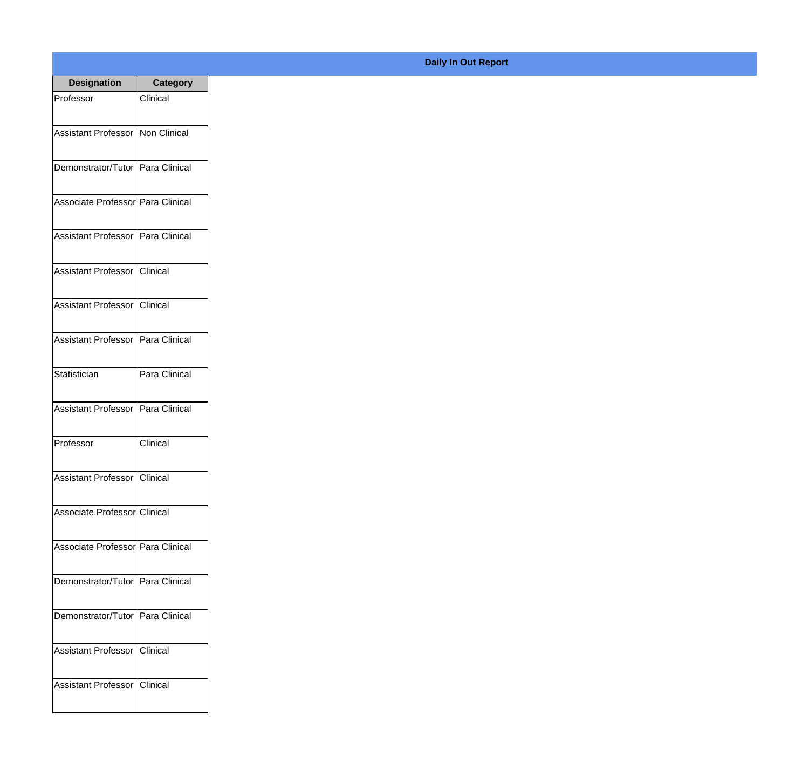| <b>Designation</b>                  | <b>Category</b> |
|-------------------------------------|-----------------|
| Professor                           | Clinical        |
| Assistant Professor   Non Clinical  |                 |
|                                     |                 |
| Demonstrator/Tutor Para Clinical    |                 |
| Associate Professor Para Clinical   |                 |
|                                     |                 |
| Assistant Professor   Para Clinical |                 |
| Assistant Professor Clinical        |                 |
|                                     |                 |
| Assistant Professor Clinical        |                 |
|                                     |                 |
| Assistant Professor   Para Clinical |                 |
| Statistician                        | Para Clinical   |
|                                     |                 |
| Assistant Professor                 | Para Clinical   |
| Professor                           | Clinical        |
|                                     |                 |
| Assistant Professor Clinical        |                 |
| Associate Professor Clinical        |                 |
|                                     |                 |
| Associate Professor Para Clinical   |                 |
| Demonstrator/Tutor   Para Clinical  |                 |
|                                     |                 |
| Demonstrator/Tutor Para Clinical    |                 |
| Assistant Professor Clinical        |                 |
|                                     |                 |
| Assistant Professor Clinical        |                 |
|                                     |                 |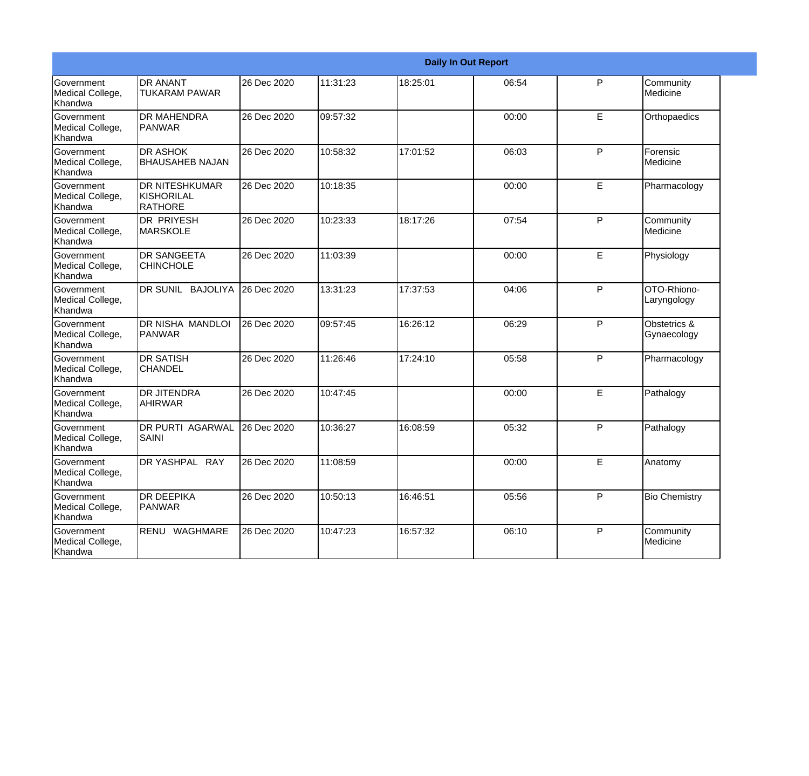|                                                  |                                                 |             |          |          | <b>Daily In Out Report</b> |   |                             |
|--------------------------------------------------|-------------------------------------------------|-------------|----------|----------|----------------------------|---|-----------------------------|
| Government<br>Medical College,<br>Khandwa        | <b>DR ANANT</b><br><b>TUKARAM PAWAR</b>         | 26 Dec 2020 | 11:31:23 | 18:25:01 | 06:54                      | P | Community<br>Medicine       |
| Government<br>Medical College,<br>Khandwa        | <b>DR MAHENDRA</b><br><b>PANWAR</b>             | 26 Dec 2020 | 09:57:32 |          | 00:00                      | E | Orthopaedics                |
| <b>Government</b><br>Medical College,<br>Khandwa | <b>I</b> DR ASHOK<br><b>BHAUSAHEB NAJAN</b>     | 26 Dec 2020 | 10:58:32 | 17:01:52 | 06:03                      | P | Forensic<br>Medicine        |
| Government<br>Medical College,<br>Khandwa        | IDR NITESHKUMAR<br>KISHORILAL<br><b>RATHORE</b> | 26 Dec 2020 | 10:18:35 |          | 00:00                      | E | Pharmacology                |
| Government<br>Medical College,<br>Khandwa        | <b>DR PRIYESH</b><br><b>MARSKOLE</b>            | 26 Dec 2020 | 10:23:33 | 18:17:26 | 07:54                      | P | Community<br>Medicine       |
| Government<br>Medical College,<br><b>Khandwa</b> | <b>DR SANGEETA</b><br><b>CHINCHOLE</b>          | 26 Dec 2020 | 11:03:39 |          | 00:00                      | E | Physiology                  |
| Government<br>Medical College,<br>Khandwa        | DR SUNIL BAJOLIYA                               | 26 Dec 2020 | 13:31:23 | 17:37:53 | 04:06                      | P | OTO-Rhiono-<br>Laryngology  |
| Government<br>Medical College,<br>Khandwa        | DR NISHA MANDLOI<br><b>PANWAR</b>               | 26 Dec 2020 | 09:57:45 | 16:26:12 | 06:29                      | P | Obstetrics &<br>Gynaecology |
| Government<br>Medical College,<br>Khandwa        | <b>DR SATISH</b><br><b>CHANDEL</b>              | 26 Dec 2020 | 11:26:46 | 17:24:10 | 05:58                      | P | Pharmacology                |
| Government<br>Medical College,<br>Khandwa        | <b>DR JITENDRA</b><br><b>AHIRWAR</b>            | 26 Dec 2020 | 10:47:45 |          | 00:00                      | E | Pathalogy                   |
| <b>Government</b><br>Medical College,<br>Khandwa | <b>DR PURTI AGARWAL</b><br>SAINI                | 26 Dec 2020 | 10:36:27 | 16:08:59 | 05:32                      | P | Pathalogy                   |
| Government<br>Medical College,<br>Khandwa        | DR YASHPAL RAY                                  | 26 Dec 2020 | 11:08:59 |          | 00:00                      | E | Anatomy                     |
| Government<br>Medical College,<br>Khandwa        | <b>DR DEEPIKA</b><br><b>PANWAR</b>              | 26 Dec 2020 | 10:50:13 | 16:46:51 | 05:56                      | P | <b>Bio Chemistry</b>        |
| Government<br>Medical College,<br>Khandwa        | RENU WAGHMARE                                   | 26 Dec 2020 | 10:47:23 | 16:57:32 | 06:10                      | P | Community<br>Medicine       |